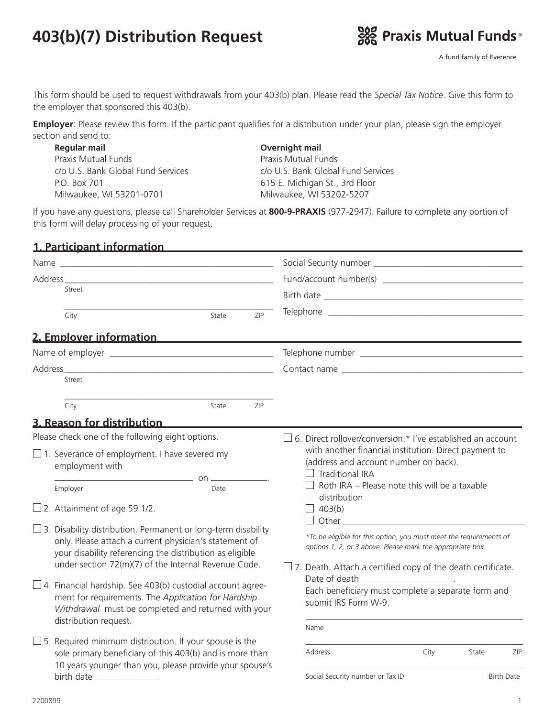# **403(b)(7) Distribution Request**



A fund family of Everence

This form should be used to request withdrawals from your 403(b) plan. Please read the *Special Tax Notice*. Give this form to the employer that sponsored this 403(b).

**Employer**: Please review this form. If the participant qualifies for a distribution under your plan, please sign the employer section and send to:

 **Regular mail Overnight mail** Praxis Mutual Funds<br>
Praxis Mutual Funds c/o U.S. Bank Global Fund Services c/o U.S. Bank Global Fund Services P.O. Box 701 615 E. Michigan St., 3rd Floor Milwaukee, WI 53201-0701 Milwaukee, WI 53202-5207

If you have any questions, please call Shareholder Services at **800-9-PRAXIS** (977-2947). Failure to complete any portion of this form will delay processing of your request.

| 1. Participant information                                                                                                                                                                 |                                                                                                                                                                                                      |  |  |  |  |
|--------------------------------------------------------------------------------------------------------------------------------------------------------------------------------------------|------------------------------------------------------------------------------------------------------------------------------------------------------------------------------------------------------|--|--|--|--|
|                                                                                                                                                                                            |                                                                                                                                                                                                      |  |  |  |  |
| Address                                                                                                                                                                                    |                                                                                                                                                                                                      |  |  |  |  |
| Street                                                                                                                                                                                     |                                                                                                                                                                                                      |  |  |  |  |
| ZIP<br>City<br>State                                                                                                                                                                       |                                                                                                                                                                                                      |  |  |  |  |
| 2. Employer information                                                                                                                                                                    |                                                                                                                                                                                                      |  |  |  |  |
|                                                                                                                                                                                            |                                                                                                                                                                                                      |  |  |  |  |
|                                                                                                                                                                                            |                                                                                                                                                                                                      |  |  |  |  |
| Street                                                                                                                                                                                     |                                                                                                                                                                                                      |  |  |  |  |
| ZIP<br>City<br>State                                                                                                                                                                       |                                                                                                                                                                                                      |  |  |  |  |
| 3. Reason for distribution                                                                                                                                                                 |                                                                                                                                                                                                      |  |  |  |  |
| Please check one of the following eight options.                                                                                                                                           | $\Box$ 6. Direct rollover/conversion.* I've established an account                                                                                                                                   |  |  |  |  |
| $\Box$ 1. Severance of employment. I have severed my<br>employment with<br>$\overline{\phantom{a}}$ on $\overline{\phantom{a}}$                                                            | with another financial institution. Direct payment to<br>(address and account number on back).<br><b>Traditional IRA</b><br>$\perp$<br>Roth IRA - Please note this will be a taxable<br>distribution |  |  |  |  |
| Employer<br>Date                                                                                                                                                                           |                                                                                                                                                                                                      |  |  |  |  |
| $\Box$ 2. Attainment of age 59 1/2.                                                                                                                                                        | $\Box$ 403(b)<br>$\Box$                                                                                                                                                                              |  |  |  |  |
| $\Box$ 3. Disability distribution. Permanent or long-term disability<br>only. Please attach a current physician's statement of<br>your disability referencing the distribution as eligible | *To be eligible for this option, you must meet the requirements of<br>options 1, 2, or 3 above. Please mark the appropriate box.                                                                     |  |  |  |  |
| under section 72(m)(7) of the Internal Revenue Code.<br>$\Box$ 4. Financial hardship. See 403(b) custodial account agree-                                                                  | $\Box$ 7. Death. Attach a certified copy of the death certificate.<br>Each beneficiary must complete a separate form and<br>submit IRS Form W-9.                                                     |  |  |  |  |
| ment for requirements. The Application for Hardship<br>Withdrawal must be completed and returned with your<br>distribution request.                                                        |                                                                                                                                                                                                      |  |  |  |  |
| $\square$ 5. Required minimum distribution. If your spouse is the                                                                                                                          | Name                                                                                                                                                                                                 |  |  |  |  |
| sole primary beneficiary of this 403(b) and is more than<br>10 years younger than you, please provide your spouse's                                                                        | City<br>ZIP<br>Address<br>State                                                                                                                                                                      |  |  |  |  |

birth date

Social Security number or Tax ID Birth Date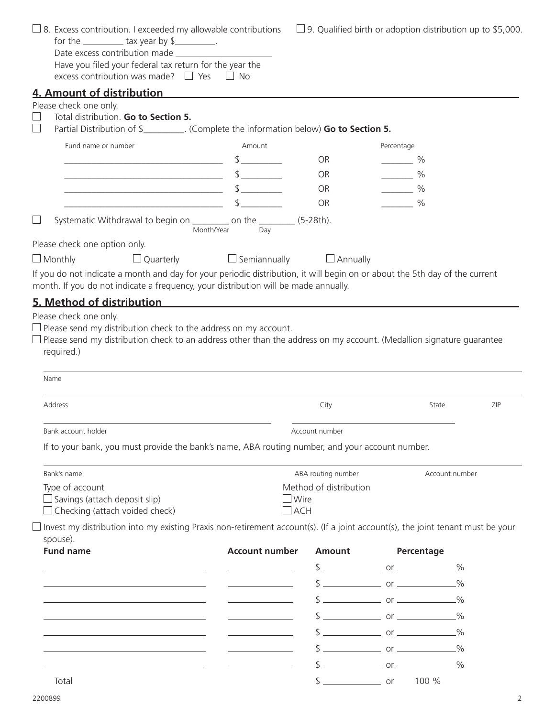| $\Box$ 8. Excess contribution. I exceeded my allowable contributions<br>for the $\frac{1}{2}$ tax year by \$<br>Have you filed your federal tax return for the year the                                            |                            | $\Box$ 9. Qualified birth or adoption distribution up to \$5,000. |               |                |     |  |
|--------------------------------------------------------------------------------------------------------------------------------------------------------------------------------------------------------------------|----------------------------|-------------------------------------------------------------------|---------------|----------------|-----|--|
| excess contribution was made? $\Box$ Yes $\Box$ No                                                                                                                                                                 |                            |                                                                   |               |                |     |  |
| <u>4. Amount of distribution Amount of the set of the set of the set of the set of the set of the set of the set o</u>                                                                                             |                            |                                                                   |               |                |     |  |
| Please check one only.                                                                                                                                                                                             |                            |                                                                   |               |                |     |  |
| Total distribution. Go to Section 5.<br>Partial Distribution of \$__________. (Complete the information below) Go to Section 5.<br>$\mathbf{I}$                                                                    |                            |                                                                   |               |                |     |  |
| Fund name or number                                                                                                                                                                                                | Amount                     |                                                                   | Percentage    |                |     |  |
|                                                                                                                                                                                                                    | $\frac{1}{2}$              | <b>OR</b>                                                         | $\frac{9}{6}$ |                |     |  |
|                                                                                                                                                                                                                    | $\frac{1}{2}$              | OR                                                                | $\frac{9}{6}$ |                |     |  |
|                                                                                                                                                                                                                    |                            | OR                                                                | $\frac{9}{6}$ |                |     |  |
|                                                                                                                                                                                                                    | $$\overline{\phantom{a}3}$ | OR                                                                | $\frac{9}{6}$ |                |     |  |
| Systematic Withdrawal to begin on __________ on the _________ (5-28th).<br>$\Box$                                                                                                                                  | Month/Year<br>Day          |                                                                   |               |                |     |  |
| Please check one option only.                                                                                                                                                                                      |                            |                                                                   |               |                |     |  |
| $\Box$ Quarterly<br>$\Box$ Monthly                                                                                                                                                                                 | $\Box$ Semiannually        | $\Box$ Annually                                                   |               |                |     |  |
| If you do not indicate a month and day for your periodic distribution, it will begin on or about the 5th day of the current<br>month. If you do not indicate a frequency, your distribution will be made annually. |                            |                                                                   |               |                |     |  |
| $\Box$ Please send my distribution check to an address other than the address on my account. (Medallion signature guarantee<br>required.)<br>Name                                                                  |                            |                                                                   |               |                |     |  |
| Address                                                                                                                                                                                                            |                            | City                                                              |               | State          | ZIP |  |
| Bank account holder                                                                                                                                                                                                |                            | Account number                                                    |               |                |     |  |
| If to your bank, you must provide the bank's name, ABA routing number, and your account number.                                                                                                                    |                            |                                                                   |               |                |     |  |
| Bank's name                                                                                                                                                                                                        |                            | ABA routing number                                                |               | Account number |     |  |
| Type of account                                                                                                                                                                                                    |                            | Method of distribution                                            |               |                |     |  |
| $\Box$ Savings (attach deposit slip)<br>$\Box$ Checking (attach voided check)                                                                                                                                      | Wire<br>$\Box$ ach         |                                                                   |               |                |     |  |
| $\Box$ Invest my distribution into my existing Praxis non-retirement account(s). (If a joint account(s), the joint tenant must be your<br>spouse).                                                                 |                            |                                                                   |               |                |     |  |
| <b>Fund name</b>                                                                                                                                                                                                   | <b>Account number</b>      | <b>Amount</b>                                                     |               | Percentage     |     |  |
|                                                                                                                                                                                                                    |                            |                                                                   |               |                |     |  |
|                                                                                                                                                                                                                    |                            |                                                                   |               |                |     |  |
|                                                                                                                                                                                                                    |                            |                                                                   |               |                |     |  |
|                                                                                                                                                                                                                    |                            |                                                                   |               |                |     |  |
|                                                                                                                                                                                                                    |                            |                                                                   |               |                |     |  |
|                                                                                                                                                                                                                    |                            |                                                                   |               |                |     |  |
|                                                                                                                                                                                                                    |                            |                                                                   |               |                |     |  |
| Total                                                                                                                                                                                                              |                            | $\frac{1}{2}$ or                                                  |               | 100 %          |     |  |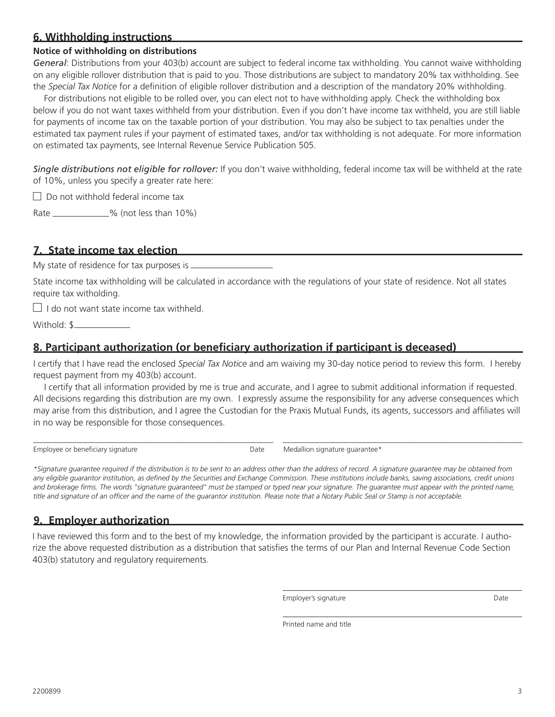# **6. Withholding instructions**

### **Notice of withholding on distributions**

*General*: Distributions from your 403(b) account are subject to federal income tax withholding. You cannot waive withholding on any eligible rollover distribution that is paid to you. Those distributions are subject to mandatory 20% tax withholding. See the *Special Tax Notice* for a definition of eligible rollover distribution and a description of the mandatory 20% withholding.

For distributions not eligible to be rolled over, you can elect not to have withholding apply. Check the withholding box below if you do not want taxes withheld from your distribution. Even if you don't have income tax withheld, you are still liable for payments of income tax on the taxable portion of your distribution. You may also be subject to tax penalties under the estimated tax payment rules if your payment of estimated taxes, and/or tax withholding is not adequate. For more information on estimated tax payments, see Internal Revenue Service Publication 505.

*Single distributions not eligible for rollover:* If you don't waive withholding, federal income tax will be withheld at the rate of 10%, unless you specify a greater rate here:

 $\Box$  Do not withhold federal income tax

Rate \_\_\_\_\_\_\_\_\_\_\_\_\_% (not less than 10%)

# **7. State income tax election**

My state of residence for tax purposes is  $\equiv$ 

State income tax withholding will be calculated in accordance with the regulations of your state of residence. Not all states require tax witholding.

 $\Box$  I do not want state income tax withheld.

Withold: \$

# **8. Participant authorization (or beneficiary authorization if participant is deceased)**

I certify that I have read the enclosed *Special Tax Notice* and am waiving my 30-day notice period to review this form. I hereby request payment from my 403(b) account.

I certify that all information provided by me is true and accurate, and I agree to submit additional information if requested. All decisions regarding this distribution are my own. I expressly assume the responsibility for any adverse consequences which may arise from this distribution, and I agree the Custodian for the Praxis Mutual Funds, its agents, successors and affiliates will in no way be responsible for those consequences.

\_\_\_\_\_\_\_\_\_\_\_\_\_\_\_\_\_\_\_\_\_\_\_\_\_\_\_\_\_\_\_\_\_\_\_\_\_\_\_\_\_\_\_\_\_\_\_\_\_\_\_\_\_ \_\_\_\_\_\_\_\_\_\_\_\_\_\_\_\_\_\_\_\_\_\_\_\_\_\_\_\_\_\_\_\_\_\_\_\_\_\_\_\_\_\_\_\_\_\_\_\_\_\_\_\_\_ Employee or beneficiary signature and the Date Medallion signature guarantee\*

*\*Signature guarantee required if the distribution is to be sent to an address other than the address of record. A signature guarantee may be obtained from*  any eligible guarantor institution, as defined by the Securities and Exchange Commission. These institutions include banks, saving associations, credit unions and brokerage firms. The words "signature guaranteed" must be stamped or typed near your signature. The guarantee must appear with the printed name, *title and signature of an officer and the name of the guarantor institution. Please note that a Notary Public Seal or Stamp is not acceptable.*

# **9. Employer authorization**

I have reviewed this form and to the best of my knowledge, the information provided by the participant is accurate. I authorize the above requested distribution as a distribution that satisfies the terms of our Plan and Internal Revenue Code Section 403(b) statutory and regulatory requirements.

Employer's signature and the Date of the Date of the Date

Printed name and title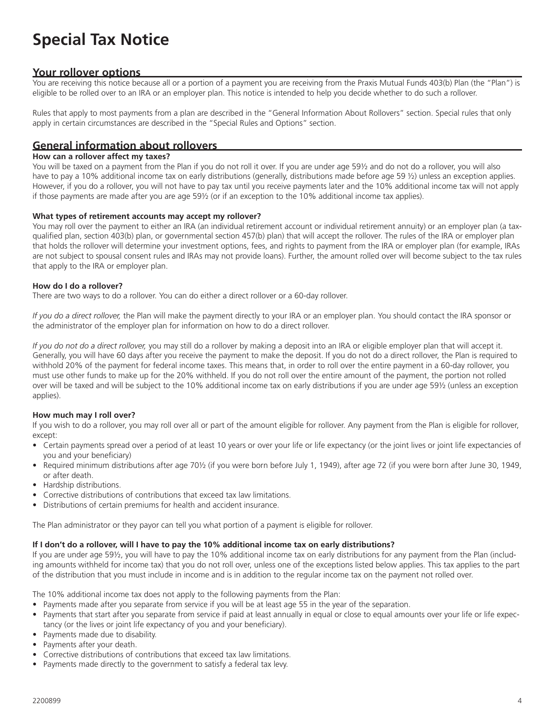# **Special Tax Notice**

## **Your rollover options**

You are receiving this notice because all or a portion of a payment you are receiving from the Praxis Mutual Funds 403(b) Plan (the "Plan") is eligible to be rolled over to an IRA or an employer plan. This notice is intended to help you decide whether to do such a rollover.

Rules that apply to most payments from a plan are described in the "General Information About Rollovers" section. Special rules that only apply in certain circumstances are described in the "Special Rules and Options" section.

## **General information about rollovers**

#### **How can a rollover affect my taxes?**

You will be taxed on a payment from the Plan if you do not roll it over. If you are under age 59½ and do not do a rollover, you will also have to pay a 10% additional income tax on early distributions (generally, distributions made before age 59 ½) unless an exception applies. However, if you do a rollover, you will not have to pay tax until you receive payments later and the 10% additional income tax will not apply if those payments are made after you are age 59½ (or if an exception to the 10% additional income tax applies).

#### **What types of retirement accounts may accept my rollover?**

You may roll over the payment to either an IRA (an individual retirement account or individual retirement annuity) or an employer plan (a taxqualified plan, section 403(b) plan, or governmental section 457(b) plan) that will accept the rollover. The rules of the IRA or employer plan that holds the rollover will determine your investment options, fees, and rights to payment from the IRA or employer plan (for example, IRAs are not subject to spousal consent rules and IRAs may not provide loans). Further, the amount rolled over will become subject to the tax rules that apply to the IRA or employer plan.

#### **How do I do a rollover?**

There are two ways to do a rollover. You can do either a direct rollover or a 60-day rollover.

*If you do a direct rollover,* the Plan will make the payment directly to your IRA or an employer plan. You should contact the IRA sponsor or the administrator of the employer plan for information on how to do a direct rollover.

*If you do not do a direct rollover,* you may still do a rollover by making a deposit into an IRA or eligible employer plan that will accept it. Generally, you will have 60 days after you receive the payment to make the deposit. If you do not do a direct rollover, the Plan is required to withhold 20% of the payment for federal income taxes. This means that, in order to roll over the entire payment in a 60-day rollover, you must use other funds to make up for the 20% withheld. If you do not roll over the entire amount of the payment, the portion not rolled over will be taxed and will be subject to the 10% additional income tax on early distributions if you are under age 59½ (unless an exception applies).

#### **How much may I roll over?**

If you wish to do a rollover, you may roll over all or part of the amount eligible for rollover. Any payment from the Plan is eligible for rollover, except:

- Certain payments spread over a period of at least 10 years or over your life or life expectancy (or the joint lives or joint life expectancies of you and your beneficiary)
- Required minimum distributions after age 70½ (if you were born before July 1, 1949), after age 72 (if you were born after June 30, 1949, or after death.
- Hardship distributions.
- Corrective distributions of contributions that exceed tax law limitations.
- Distributions of certain premiums for health and accident insurance.

The Plan administrator or they payor can tell you what portion of a payment is eligible for rollover.

#### **If I don't do a rollover, will I have to pay the 10% additional income tax on early distributions?**

If you are under age 59½, you will have to pay the 10% additional income tax on early distributions for any payment from the Plan (including amounts withheld for income tax) that you do not roll over, unless one of the exceptions listed below applies. This tax applies to the part of the distribution that you must include in income and is in addition to the regular income tax on the payment not rolled over.

The 10% additional income tax does not apply to the following payments from the Plan:

- Payments made after you separate from service if you will be at least age 55 in the year of the separation.
- Payments that start after you separate from service if paid at least annually in equal or close to equal amounts over your life or life expectancy (or the lives or joint life expectancy of you and your beneficiary).
- Payments made due to disability.
- Payments after your death.
- Corrective distributions of contributions that exceed tax law limitations.
- Payments made directly to the government to satisfy a federal tax levy.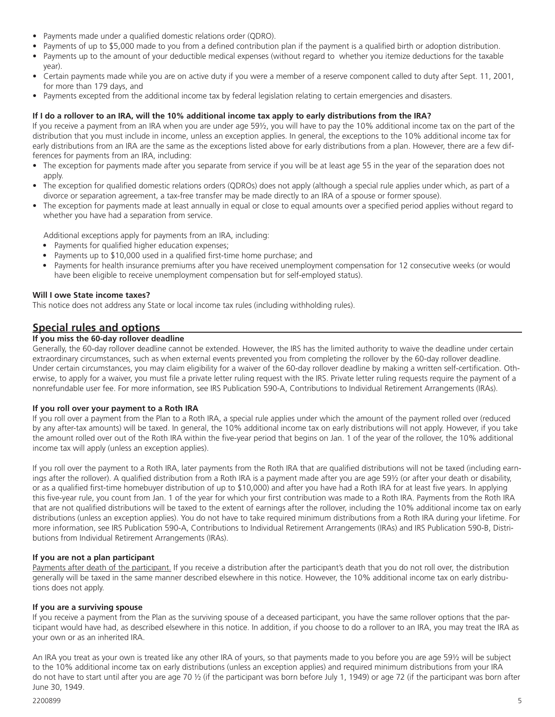- Payments made under a qualified domestic relations order (QDRO).
- Payments of up to \$5,000 made to you from a defined contribution plan if the payment is a qualified birth or adoption distribution.
- Payments up to the amount of your deductible medical expenses (without regard to whether you itemize deductions for the taxable year).
- Certain payments made while you are on active duty if you were a member of a reserve component called to duty after Sept. 11, 2001, for more than 179 days, and
- Payments excepted from the additional income tax by federal legislation relating to certain emergencies and disasters.

#### **If I do a rollover to an IRA, will the 10% additional income tax apply to early distributions from the IRA?**

If you receive a payment from an IRA when you are under age 59½, you will have to pay the 10% additional income tax on the part of the distribution that you must include in income, unless an exception applies. In general, the exceptions to the 10% additional income tax for early distributions from an IRA are the same as the exceptions listed above for early distributions from a plan. However, there are a few differences for payments from an IRA, including:

- The exception for payments made after you separate from service if you will be at least age 55 in the year of the separation does not apply.
- The exception for qualified domestic relations orders (QDROs) does not apply (although a special rule applies under which, as part of a divorce or separation agreement, a tax-free transfer may be made directly to an IRA of a spouse or former spouse).
- The exception for payments made at least annually in equal or close to equal amounts over a specified period applies without regard to whether you have had a separation from service.

Additional exceptions apply for payments from an IRA, including:

- Payments for qualified higher education expenses;
- Payments up to \$10,000 used in a qualified first-time home purchase; and
- Payments for health insurance premiums after you have received unemployment compensation for 12 consecutive weeks (or would have been eligible to receive unemployment compensation but for self-employed status).

#### **Will I owe State income taxes?**

This notice does not address any State or local income tax rules (including withholding rules).

## **Special rules and options**

#### **If you miss the 60-day rollover deadline**

Generally, the 60-day rollover deadline cannot be extended. However, the IRS has the limited authority to waive the deadline under certain extraordinary circumstances, such as when external events prevented you from completing the rollover by the 60-day rollover deadline. Under certain circumstances, you may claim eligibility for a waiver of the 60-day rollover deadline by making a written self-certification. Otherwise, to apply for a waiver, you must file a private letter ruling request with the IRS. Private letter ruling requests require the payment of a nonrefundable user fee. For more information, see IRS Publication 590-A, Contributions to Individual Retirement Arrangements (IRAs).

#### **If you roll over your payment to a Roth IRA**

If you roll over a payment from the Plan to a Roth IRA, a special rule applies under which the amount of the payment rolled over (reduced by any after-tax amounts) will be taxed. In general, the 10% additional income tax on early distributions will not apply. However, if you take the amount rolled over out of the Roth IRA within the five-year period that begins on Jan. 1 of the year of the rollover, the 10% additional income tax will apply (unless an exception applies).

If you roll over the payment to a Roth IRA, later payments from the Roth IRA that are qualified distributions will not be taxed (including earnings after the rollover). A qualified distribution from a Roth IRA is a payment made after you are age 59½ (or after your death or disability, or as a qualified first-time homebuyer distribution of up to \$10,000) and after you have had a Roth IRA for at least five years. In applying this five-year rule, you count from Jan. 1 of the year for which your first contribution was made to a Roth IRA. Payments from the Roth IRA that are not qualified distributions will be taxed to the extent of earnings after the rollover, including the 10% additional income tax on early distributions (unless an exception applies). You do not have to take required minimum distributions from a Roth IRA during your lifetime. For more information, see IRS Publication 590-A, Contributions to Individual Retirement Arrangements (IRAs) and IRS Publication 590-B, Distributions from Individual Retirement Arrangements (IRAs).

#### **If you are not a plan participant**

Payments after death of the participant. If you receive a distribution after the participant's death that you do not roll over, the distribution generally will be taxed in the same manner described elsewhere in this notice. However, the 10% additional income tax on early distributions does not apply.

#### **If you are a surviving spouse**

If you receive a payment from the Plan as the surviving spouse of a deceased participant, you have the same rollover options that the participant would have had, as described elsewhere in this notice. In addition, if you choose to do a rollover to an IRA, you may treat the IRA as your own or as an inherited IRA.

An IRA you treat as your own is treated like any other IRA of yours, so that payments made to you before you are age 59½ will be subject to the 10% additional income tax on early distributions (unless an exception applies) and required minimum distributions from your IRA do not have to start until after you are age 70 ½ (if the participant was born before July 1, 1949) or age 72 (if the participant was born after June 30, 1949.